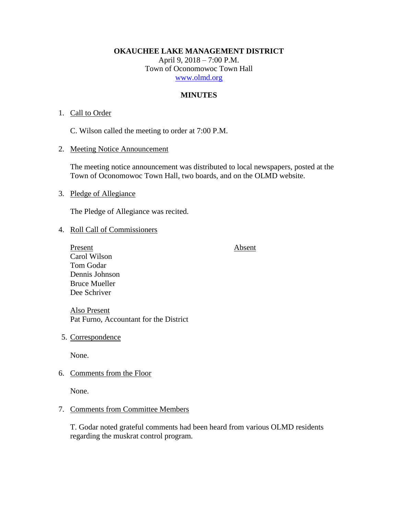**OKAUCHEE LAKE MANAGEMENT DISTRICT**

April 9, 2018 – 7:00 P.M. Town of Oconomowoc Town Hall [www.olmd.org](http://www.olmd.org/)

# **MINUTES**

# 1. Call to Order

C. Wilson called the meeting to order at 7:00 P.M.

2. Meeting Notice Announcement

The meeting notice announcement was distributed to local newspapers, posted at the Town of Oconomowoc Town Hall, two boards, and on the OLMD website.

3. Pledge of Allegiance

The Pledge of Allegiance was recited.

# 4. Roll Call of Commissioners

Present Absent Carol Wilson Tom Godar Dennis Johnson Bruce Mueller Dee Schriver

Also Present Pat Furno, Accountant for the District

5. Correspondence

None.

6. Comments from the Floor

None.

# 7. Comments from Committee Members

T. Godar noted grateful comments had been heard from various OLMD residents regarding the muskrat control program.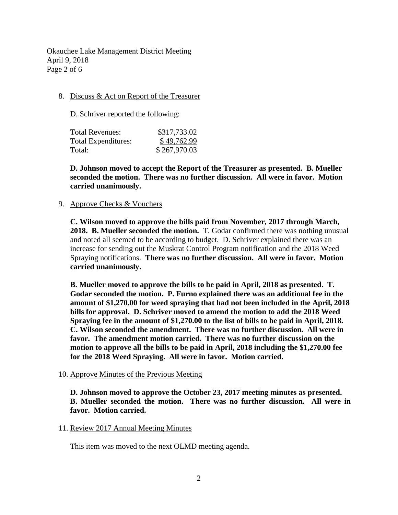Okauchee Lake Management District Meeting April 9, 2018 Page 2 of 6

# 8. Discuss & Act on Report of the Treasurer

D. Schriver reported the following:

| Total Revenues:     | \$317,733.02 |
|---------------------|--------------|
| Total Expenditures: | \$49,762.99  |
| Total:              | \$267,970.03 |

**D. Johnson moved to accept the Report of the Treasurer as presented. B. Mueller seconded the motion. There was no further discussion. All were in favor. Motion carried unanimously.**

## 9. Approve Checks & Vouchers

**C. Wilson moved to approve the bills paid from November, 2017 through March, 2018. B. Mueller seconded the motion.** T. Godar confirmed there was nothing unusual and noted all seemed to be according to budget. D. Schriver explained there was an increase for sending out the Muskrat Control Program notification and the 2018 Weed Spraying notifications. **There was no further discussion. All were in favor. Motion carried unanimously.**

**B. Mueller moved to approve the bills to be paid in April, 2018 as presented. T. Godar seconded the motion. P. Furno explained there was an additional fee in the amount of \$1,270.00 for weed spraying that had not been included in the April, 2018 bills for approval. D. Schriver moved to amend the motion to add the 2018 Weed Spraying fee in the amount of \$1,270.00 to the list of bills to be paid in April, 2018. C. Wilson seconded the amendment. There was no further discussion. All were in favor. The amendment motion carried. There was no further discussion on the motion to approve all the bills to be paid in April, 2018 including the \$1,270.00 fee for the 2018 Weed Spraying. All were in favor. Motion carried.**

#### 10. Approve Minutes of the Previous Meeting

**D. Johnson moved to approve the October 23, 2017 meeting minutes as presented. B. Mueller seconded the motion. There was no further discussion. All were in favor. Motion carried.**

#### 11. Review 2017 Annual Meeting Minutes

This item was moved to the next OLMD meeting agenda.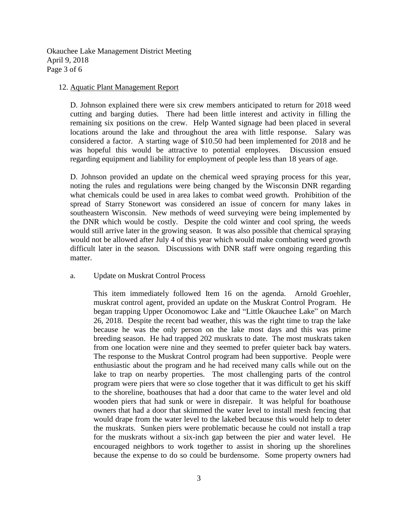Okauchee Lake Management District Meeting April 9, 2018 Page 3 of 6

## 12. Aquatic Plant Management Report

D. Johnson explained there were six crew members anticipated to return for 2018 weed cutting and barging duties. There had been little interest and activity in filling the remaining six positions on the crew. Help Wanted signage had been placed in several locations around the lake and throughout the area with little response. Salary was considered a factor. A starting wage of \$10.50 had been implemented for 2018 and he was hopeful this would be attractive to potential employees. Discussion ensued regarding equipment and liability for employment of people less than 18 years of age.

D. Johnson provided an update on the chemical weed spraying process for this year, noting the rules and regulations were being changed by the Wisconsin DNR regarding what chemicals could be used in area lakes to combat weed growth. Prohibition of the spread of Starry Stonewort was considered an issue of concern for many lakes in southeastern Wisconsin. New methods of weed surveying were being implemented by the DNR which would be costly. Despite the cold winter and cool spring, the weeds would still arrive later in the growing season. It was also possible that chemical spraying would not be allowed after July 4 of this year which would make combating weed growth difficult later in the season. Discussions with DNR staff were ongoing regarding this matter.

# a. Update on Muskrat Control Process

This item immediately followed Item 16 on the agenda. Arnold Groehler, muskrat control agent, provided an update on the Muskrat Control Program. He began trapping Upper Oconomowoc Lake and "Little Okauchee Lake" on March 26, 2018. Despite the recent bad weather, this was the right time to trap the lake because he was the only person on the lake most days and this was prime breeding season. He had trapped 202 muskrats to date. The most muskrats taken from one location were nine and they seemed to prefer quieter back bay waters. The response to the Muskrat Control program had been supportive. People were enthusiastic about the program and he had received many calls while out on the lake to trap on nearby properties. The most challenging parts of the control program were piers that were so close together that it was difficult to get his skiff to the shoreline, boathouses that had a door that came to the water level and old wooden piers that had sunk or were in disrepair. It was helpful for boathouse owners that had a door that skimmed the water level to install mesh fencing that would drape from the water level to the lakebed because this would help to deter the muskrats. Sunken piers were problematic because he could not install a trap for the muskrats without a six-inch gap between the pier and water level. He encouraged neighbors to work together to assist in shoring up the shorelines because the expense to do so could be burdensome. Some property owners had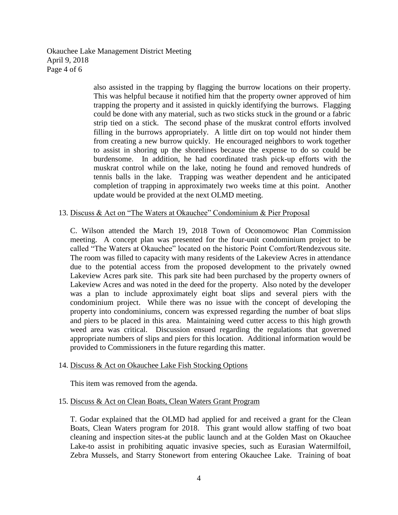Okauchee Lake Management District Meeting April 9, 2018 Page 4 of 6

> also assisted in the trapping by flagging the burrow locations on their property. This was helpful because it notified him that the property owner approved of him trapping the property and it assisted in quickly identifying the burrows. Flagging could be done with any material, such as two sticks stuck in the ground or a fabric strip tied on a stick. The second phase of the muskrat control efforts involved filling in the burrows appropriately. A little dirt on top would not hinder them from creating a new burrow quickly. He encouraged neighbors to work together to assist in shoring up the shorelines because the expense to do so could be burdensome. In addition, he had coordinated trash pick-up efforts with the muskrat control while on the lake, noting he found and removed hundreds of tennis balls in the lake. Trapping was weather dependent and he anticipated completion of trapping in approximately two weeks time at this point. Another update would be provided at the next OLMD meeting.

## 13. Discuss & Act on "The Waters at Okauchee" Condominium & Pier Proposal

C. Wilson attended the March 19, 2018 Town of Oconomowoc Plan Commission meeting. A concept plan was presented for the four-unit condominium project to be called "The Waters at Okauchee" located on the historic Point Comfort/Rendezvous site. The room was filled to capacity with many residents of the Lakeview Acres in attendance due to the potential access from the proposed development to the privately owned Lakeview Acres park site. This park site had been purchased by the property owners of Lakeview Acres and was noted in the deed for the property. Also noted by the developer was a plan to include approximately eight boat slips and several piers with the condominium project. While there was no issue with the concept of developing the property into condominiums, concern was expressed regarding the number of boat slips and piers to be placed in this area. Maintaining weed cutter access to this high growth weed area was critical. Discussion ensued regarding the regulations that governed appropriate numbers of slips and piers for this location. Additional information would be provided to Commissioners in the future regarding this matter.

#### 14. Discuss & Act on Okauchee Lake Fish Stocking Options

This item was removed from the agenda.

## 15. Discuss & Act on Clean Boats, Clean Waters Grant Program

T. Godar explained that the OLMD had applied for and received a grant for the Clean Boats, Clean Waters program for 2018. This grant would allow staffing of two boat cleaning and inspection sites-at the public launch and at the Golden Mast on Okauchee Lake-to assist in prohibiting aquatic invasive species, such as Eurasian Watermilfoil, Zebra Mussels, and Starry Stonewort from entering Okauchee Lake. Training of boat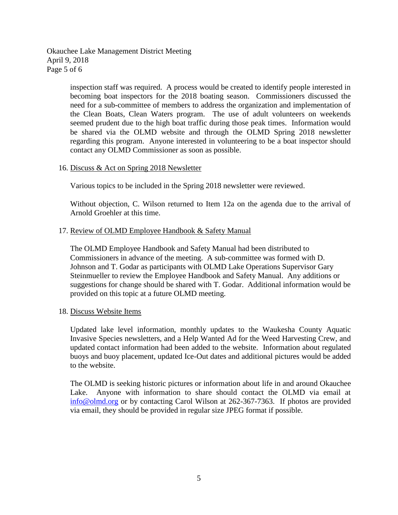Okauchee Lake Management District Meeting April 9, 2018 Page 5 of 6

> inspection staff was required. A process would be created to identify people interested in becoming boat inspectors for the 2018 boating season. Commissioners discussed the need for a sub-committee of members to address the organization and implementation of the Clean Boats, Clean Waters program. The use of adult volunteers on weekends seemed prudent due to the high boat traffic during those peak times. Information would be shared via the OLMD website and through the OLMD Spring 2018 newsletter regarding this program. Anyone interested in volunteering to be a boat inspector should contact any OLMD Commissioner as soon as possible.

16. Discuss & Act on Spring 2018 Newsletter

Various topics to be included in the Spring 2018 newsletter were reviewed.

Without objection, C. Wilson returned to Item 12a on the agenda due to the arrival of Arnold Groehler at this time.

## 17. Review of OLMD Employee Handbook & Safety Manual

The OLMD Employee Handbook and Safety Manual had been distributed to Commissioners in advance of the meeting. A sub-committee was formed with D. Johnson and T. Godar as participants with OLMD Lake Operations Supervisor Gary Steinmueller to review the Employee Handbook and Safety Manual. Any additions or suggestions for change should be shared with T. Godar. Additional information would be provided on this topic at a future OLMD meeting.

#### 18. Discuss Website Items

Updated lake level information, monthly updates to the Waukesha County Aquatic Invasive Species newsletters, and a Help Wanted Ad for the Weed Harvesting Crew, and updated contact information had been added to the website. Information about regulated buoys and buoy placement, updated Ice-Out dates and additional pictures would be added to the website.

The OLMD is seeking historic pictures or information about life in and around Okauchee Lake. Anyone with information to share should contact the OLMD via email at [info@olmd.org](mailto:info@olmd.org) or by contacting Carol Wilson at 262-367-7363. If photos are provided via email, they should be provided in regular size JPEG format if possible.